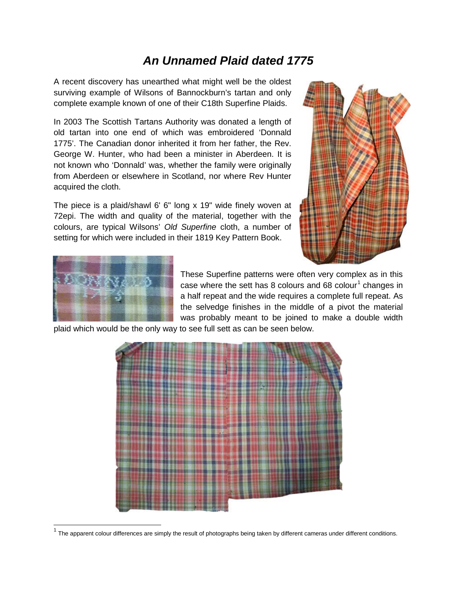## *An Unnamed Plaid dated 1775*

A recent discovery has unearthed what might well be the oldest surviving example of Wilsons of Bannockburn's tartan and only complete example known of one of their C18th Superfine Plaids.

In 2003 The Scottish Tartans Authority was donated a length of old tartan into one end of which was embroidered 'Donnald 1775'. The Canadian donor inherited it from her father, the Rev. George W. Hunter, who had been a minister in Aberdeen. It is not known who 'Donnald' was, whether the family were originally from Aberdeen or elsewhere in Scotland, nor where Rev Hunter acquired the cloth.

The piece is a plaid/shawl 6' 6" long x 19" wide finely woven at 72epi. The width and quality of the material, together with the colours, are typical Wilsons' *Old Superfine* cloth, a number of setting for which were included in their 1819 Key Pattern Book.





These Superfine patterns were often very complex as in this case where the sett has 8 colours and 68 colour<sup>[1](#page-0-0)</sup> changes in a half repeat and the wide requires a complete full repeat. As the selvedge finishes in the middle of a pivot the material was probably meant to be joined to make a double width

plaid which would be the only way to see full sett as can be seen below.

<span id="page-0-0"></span>

 $1$  The apparent colour differences are simply the result of photographs being taken by different cameras under different conditions.